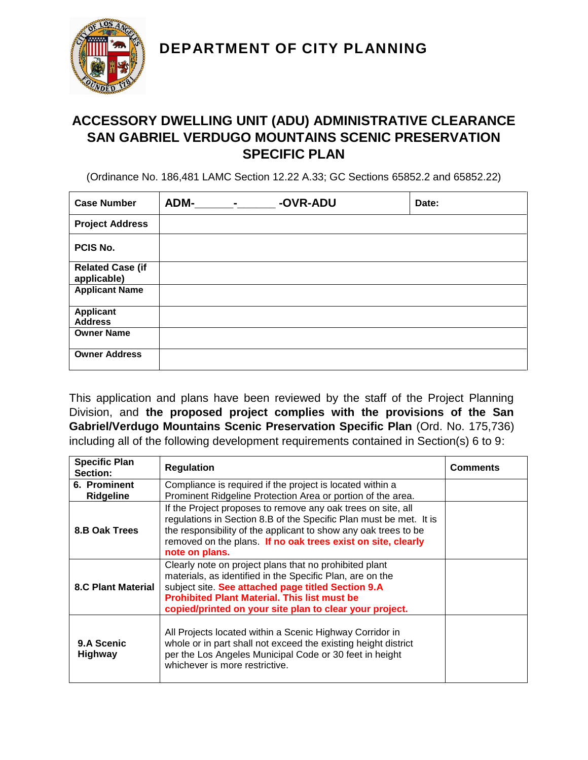**DEPARTMENT OF CITY PLANNING**



## **ACCESSORY DWELLING UNIT (ADU) ADMINISTRATIVE CLEARANCE SAN GABRIEL VERDUGO MOUNTAINS SCENIC PRESERVATION SPECIFIC PLAN**

(Ordinance No. 186,481 LAMC Section 12.22 A.33; GC Sections 65852.2 and 65852.22)

| <b>Case Number</b>                     | <b>ADM-</b><br>$\blacksquare$ | -OVR-ADU | Date: |
|----------------------------------------|-------------------------------|----------|-------|
| <b>Project Address</b>                 |                               |          |       |
| PCIS No.                               |                               |          |       |
| <b>Related Case (if</b><br>applicable) |                               |          |       |
| <b>Applicant Name</b>                  |                               |          |       |
| <b>Applicant</b><br><b>Address</b>     |                               |          |       |
| <b>Owner Name</b>                      |                               |          |       |
| <b>Owner Address</b>                   |                               |          |       |

This application and plans have been reviewed by the staff of the Project Planning Division, and **the proposed project complies with the provisions of the San Gabriel/Verdugo Mountains Scenic Preservation Specific Plan** (Ord. No. 175,736) including all of the following development requirements contained in Section(s) 6 to 9:

| <b>Specific Plan</b><br>Section: | <b>Regulation</b>                                                                                                                                                                                                                                                                           | Comments |
|----------------------------------|---------------------------------------------------------------------------------------------------------------------------------------------------------------------------------------------------------------------------------------------------------------------------------------------|----------|
| 6. Prominent<br><b>Ridgeline</b> | Compliance is required if the project is located within a<br>Prominent Ridgeline Protection Area or portion of the area.                                                                                                                                                                    |          |
| 8.B Oak Trees                    | If the Project proposes to remove any oak trees on site, all<br>regulations in Section 8.B of the Specific Plan must be met. It is<br>the responsibility of the applicant to show any oak trees to be<br>removed on the plans. If no oak trees exist on site, clearly<br>note on plans.     |          |
| <b>8.C Plant Material</b>        | Clearly note on project plans that no prohibited plant<br>materials, as identified in the Specific Plan, are on the<br>subject site. See attached page titled Section 9.A<br><b>Prohibited Plant Material. This list must be</b><br>copied/printed on your site plan to clear your project. |          |
| 9.A Scenic<br><b>Highway</b>     | All Projects located within a Scenic Highway Corridor in<br>whole or in part shall not exceed the existing height district<br>per the Los Angeles Municipal Code or 30 feet in height<br>whichever is more restrictive.                                                                     |          |